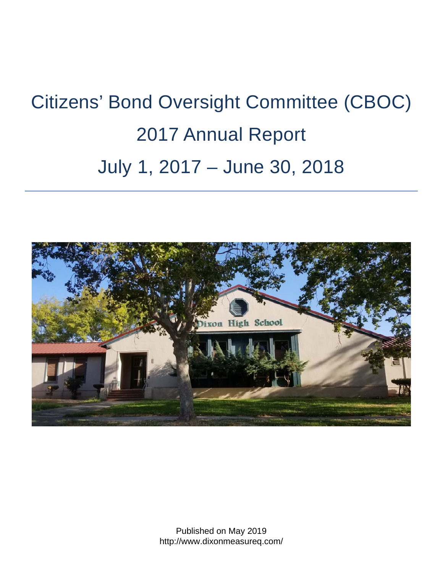# Citizens' Bond Oversight Committee (CBOC) 2017 Annual Report July 1, 2017 – June 30, 2018

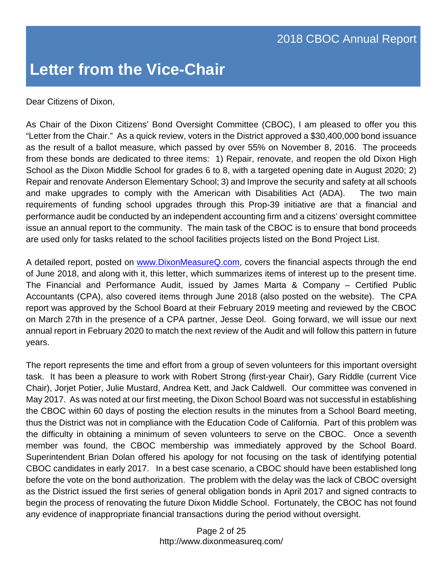Dear Citizens of Dixon,

As Chair of the Dixon Citizens' Bond Oversight Committee (CBOC), I am pleased to offer you this "Letter from the Chair." As a quick review, voters in the District approved a \$30,400,000 bond issuance as the result of a ballot measure, which passed by over 55% on November 8, 2016. The proceeds from these bonds are dedicated to three items: 1) Repair, renovate, and reopen the old Dixon High School as the Dixon Middle School for grades 6 to 8, with a targeted opening date in August 2020; 2) Repair and renovate Anderson Elementary School; 3) and Improve the security and safety at all schools and make upgrades to comply with the American with Disabilities Act (ADA). The two main requirements of funding school upgrades through this Prop-39 initiative are that a financial and performance audit be conducted by an independent accounting firm and a citizens' oversight committee issue an annual report to the community. The main task of the CBOC is to ensure that bond proceeds are used only for tasks related to the school facilities projects listed on the Bond Project List.

A detailed report, posted on www.DixonMeasureQ.com, covers the financial aspects through the end of June 2018, and along with it, this letter, which summarizes items of interest up to the present time. The Financial and Performance Audit, issued by James Marta & Company – Certified Public Accountants (CPA), also covered items through June 2018 (also posted on the website). The CPA report was approved by the School Board at their February 2019 meeting and reviewed by the CBOC on March 27th in the presence of a CPA partner, Jesse Deol. Going forward, we will issue our next annual report in February 2020 to match the next review of the Audit and will follow this pattern in future years.

The report represents the time and effort from a group of seven volunteers for this important oversight task. It has been a pleasure to work with Robert Strong (first-year Chair), Gary Riddle (current Vice Chair), Jorjet Potier, Julie Mustard, Andrea Kett, and Jack Caldwell. Our committee was convened in May 2017. As was noted at our first meeting, the Dixon School Board was not successful in establishing the CBOC within 60 days of posting the election results in the minutes from a School Board meeting, thus the District was not in compliance with the Education Code of California. Part of this problem was the difficulty in obtaining a minimum of seven volunteers to serve on the CBOC. Once a seventh member was found, the CBOC membership was immediately approved by the School Board. Superintendent Brian Dolan offered his apology for not focusing on the task of identifying potential CBOC candidates in early 2017. In a best case scenario, a CBOC should have been established long before the vote on the bond authorization. The problem with the delay was the lack of CBOC oversight as the District issued the first series of general obligation bonds in April 2017 and signed contracts to begin the process of renovating the future Dixon Middle School. Fortunately, the CBOC has not found any evidence of inappropriate financial transactions during the period without oversight.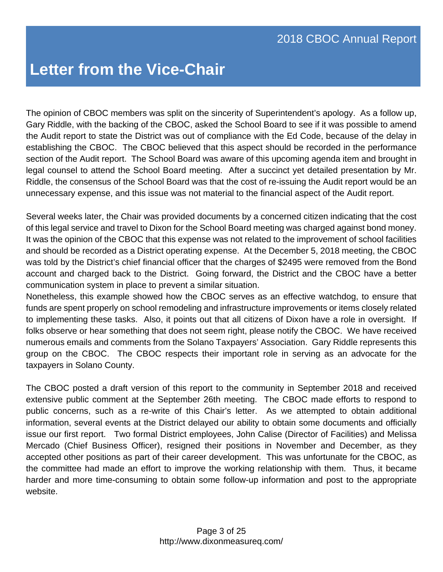The opinion of CBOC members was split on the sincerity of Superintendent's apology. As a follow up, Gary Riddle, with the backing of the CBOC, asked the School Board to see if it was possible to amend the Audit report to state the District was out of compliance with the Ed Code, because of the delay in establishing the CBOC. The CBOC believed that this aspect should be recorded in the performance section of the Audit report. The School Board was aware of this upcoming agenda item and brought in legal counsel to attend the School Board meeting. After a succinct yet detailed presentation by Mr. Riddle, the consensus of the School Board was that the cost of re-issuing the Audit report would be an unnecessary expense, and this issue was not material to the financial aspect of the Audit report.

Several weeks later, the Chair was provided documents by a concerned citizen indicating that the cost of this legal service and travel to Dixon for the School Board meeting was charged against bond money. It was the opinion of the CBOC that this expense was not related to the improvement of school facilities and should be recorded as a District operating expense. At the December 5, 2018 meeting, the CBOC was told by the District's chief financial officer that the charges of \$2495 were removed from the Bond account and charged back to the District. Going forward, the District and the CBOC have a better communication system in place to prevent a similar situation.

Nonetheless, this example showed how the CBOC serves as an effective watchdog, to ensure that funds are spent properly on school remodeling and infrastructure improvements or items closely related to implementing these tasks. Also, it points out that all citizens of Dixon have a role in oversight. If folks observe or hear something that does not seem right, please notify the CBOC. We have received numerous emails and comments from the Solano Taxpayers' Association. Gary Riddle represents this group on the CBOC. The CBOC respects their important role in serving as an advocate for the taxpayers in Solano County.

The CBOC posted a draft version of this report to the community in September 2018 and received extensive public comment at the September 26th meeting. The CBOC made efforts to respond to public concerns, such as a re-write of this Chair's letter. As we attempted to obtain additional information, several events at the District delayed our ability to obtain some documents and officially issue our first report. Two formal District employees, John Calise (Director of Facilities) and Melissa Mercado (Chief Business Officer), resigned their positions in November and December, as they accepted other positions as part of their career development. This was unfortunate for the CBOC, as the committee had made an effort to improve the working relationship with them. Thus, it became harder and more time-consuming to obtain some follow-up information and post to the appropriate website.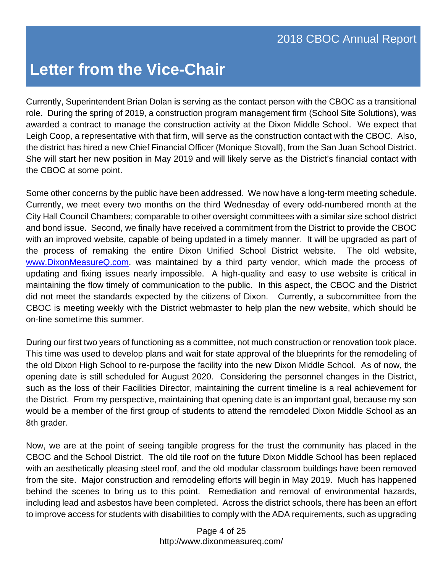Currently, Superintendent Brian Dolan is serving as the contact person with the CBOC as a transitional role. During the spring of 2019, a construction program management firm (School Site Solutions), was awarded a contract to manage the construction activity at the Dixon Middle School. We expect that Leigh Coop, a representative with that firm, will serve as the construction contact with the CBOC. Also, the district has hired a new Chief Financial Officer (Monique Stovall), from the San Juan School District. She will start her new position in May 2019 and will likely serve as the District's financial contact with the CBOC at some point.

Some other concerns by the public have been addressed. We now have a long-term meeting schedule. Currently, we meet every two months on the third Wednesday of every odd-numbered month at the City Hall Council Chambers; comparable to other oversight committees with a similar size school district and bond issue. Second, we finally have received a commitment from the District to provide the CBOC with an improved website, capable of being updated in a timely manner. It will be upgraded as part of the process of remaking the entire Dixon Unified School District website. The old website, www.DixonMeasureQ.com, was maintained by a third party vendor, which made the process of updating and fixing issues nearly impossible. A high-quality and easy to use website is critical in maintaining the flow timely of communication to the public. In this aspect, the CBOC and the District did not meet the standards expected by the citizens of Dixon. Currently, a subcommittee from the CBOC is meeting weekly with the District webmaster to help plan the new website, which should be on-line sometime this summer.

During our first two years of functioning as a committee, not much construction or renovation took place. This time was used to develop plans and wait for state approval of the blueprints for the remodeling of the old Dixon High School to re-purpose the facility into the new Dixon Middle School. As of now, the opening date is still scheduled for August 2020. Considering the personnel changes in the District, such as the loss of their Facilities Director, maintaining the current timeline is a real achievement for the District. From my perspective, maintaining that opening date is an important goal, because my son would be a member of the first group of students to attend the remodeled Dixon Middle School as an 8th grader.

Now, we are at the point of seeing tangible progress for the trust the community has placed in the CBOC and the School District. The old tile roof on the future Dixon Middle School has been replaced with an aesthetically pleasing steel roof, and the old modular classroom buildings have been removed from the site. Major construction and remodeling efforts will begin in May 2019. Much has happened behind the scenes to bring us to this point. Remediation and removal of environmental hazards, including lead and asbestos have been completed. Across the district schools, there has been an effort to improve access for students with disabilities to comply with the ADA requirements, such as upgrading

> Page 4 of 25 http://www.dixonmeasureq.com/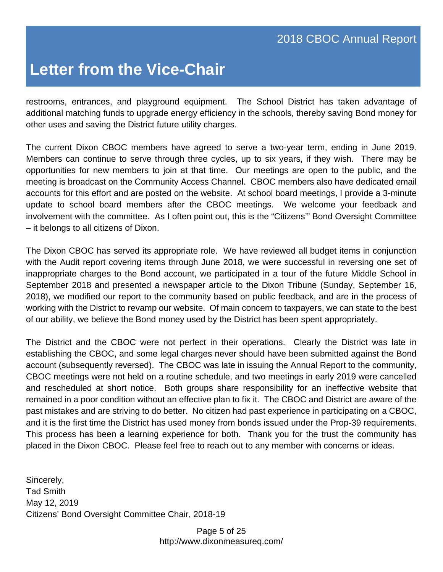restrooms, entrances, and playground equipment. The School District has taken advantage of additional matching funds to upgrade energy efficiency in the schools, thereby saving Bond money for other uses and saving the District future utility charges.

The current Dixon CBOC members have agreed to serve a two-year term, ending in June 2019. Members can continue to serve through three cycles, up to six years, if they wish. There may be opportunities for new members to join at that time. Our meetings are open to the public, and the meeting is broadcast on the Community Access Channel. CBOC members also have dedicated email accounts for this effort and are posted on the website. At school board meetings, I provide a 3-minute update to school board members after the CBOC meetings. We welcome your feedback and involvement with the committee. As I often point out, this is the "Citizens'" Bond Oversight Committee – it belongs to all citizens of Dixon.

The Dixon CBOC has served its appropriate role. We have reviewed all budget items in conjunction with the Audit report covering items through June 2018, we were successful in reversing one set of inappropriate charges to the Bond account, we participated in a tour of the future Middle School in September 2018 and presented a newspaper article to the Dixon Tribune (Sunday, September 16, 2018), we modified our report to the community based on public feedback, and are in the process of working with the District to revamp our website. Of main concern to taxpayers, we can state to the best of our ability, we believe the Bond money used by the District has been spent appropriately.

The District and the CBOC were not perfect in their operations. Clearly the District was late in establishing the CBOC, and some legal charges never should have been submitted against the Bond account (subsequently reversed). The CBOC was late in issuing the Annual Report to the community, CBOC meetings were not held on a routine schedule, and two meetings in early 2019 were cancelled and rescheduled at short notice. Both groups share responsibility for an ineffective website that remained in a poor condition without an effective plan to fix it. The CBOC and District are aware of the past mistakes and are striving to do better. No citizen had past experience in participating on a CBOC, and it is the first time the District has used money from bonds issued under the Prop-39 requirements. This process has been a learning experience for both. Thank you for the trust the community has placed in the Dixon CBOC. Please feel free to reach out to any member with concerns or ideas.

Sincerely, Tad Smith May 12, 2019 Citizens' Bond Oversight Committee Chair, 2018-19

> Page 5 of 25 http://www.dixonmeasureq.com/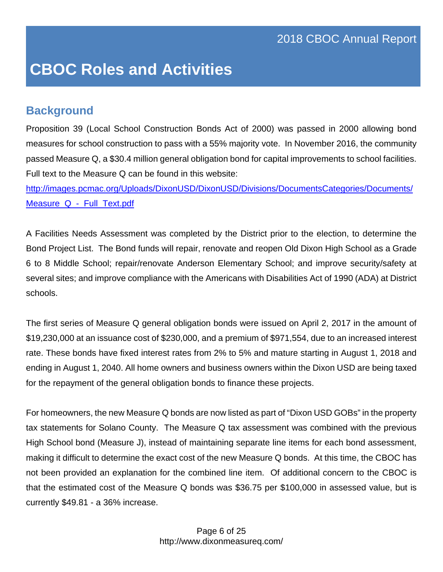#### **Background**

Proposition 39 (Local School Construction Bonds Act of 2000) was passed in 2000 allowing bond measures for school construction to pass with a 55% majority vote. In November 2016, the community passed Measure Q, a \$30.4 million general obligation bond for capital improvements to school facilities. Full text to the Measure Q can be found in this website:

http://images.pcmac.org/Uploads/DixonUSD/DixonUSD/Divisions/DocumentsCategories/Documents/ Measure Q - Full Text.pdf

A Facilities Needs Assessment was completed by the District prior to the election, to determine the Bond Project List. The Bond funds will repair, renovate and reopen Old Dixon High School as a Grade 6 to 8 Middle School; repair/renovate Anderson Elementary School; and improve security/safety at several sites; and improve compliance with the Americans with Disabilities Act of 1990 (ADA) at District schools.

The first series of Measure Q general obligation bonds were issued on April 2, 2017 in the amount of \$19,230,000 at an issuance cost of \$230,000, and a premium of \$971,554, due to an increased interest rate. These bonds have fixed interest rates from 2% to 5% and mature starting in August 1, 2018 and ending in August 1, 2040. All home owners and business owners within the Dixon USD are being taxed for the repayment of the general obligation bonds to finance these projects.

For homeowners, the new Measure Q bonds are now listed as part of "Dixon USD GOBs" in the property tax statements for Solano County. The Measure Q tax assessment was combined with the previous High School bond (Measure J), instead of maintaining separate line items for each bond assessment, making it difficult to determine the exact cost of the new Measure Q bonds. At this time, the CBOC has not been provided an explanation for the combined line item. Of additional concern to the CBOC is that the estimated cost of the Measure Q bonds was \$36.75 per \$100,000 in assessed value, but is currently \$49.81 - a 36% increase.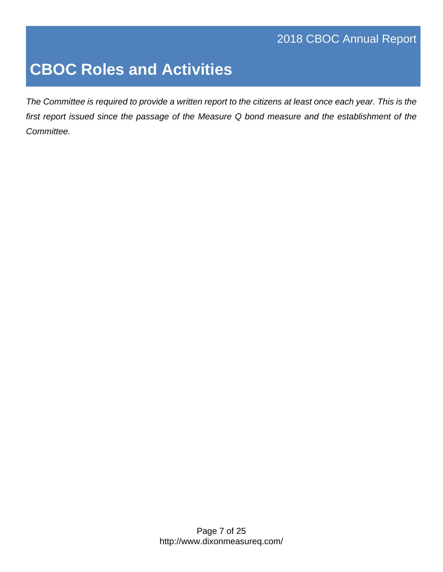### 2018 CBOC Annual Report

# **CBOC Roles and Activities**

*The Committee is required to provide a written report to the citizens at least once each year. This is the first report issued since the passage of the Measure Q bond measure and the establishment of the Committee.*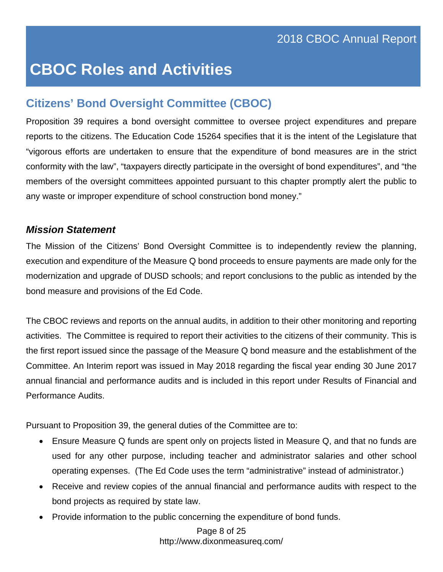### **Citizens' Bond Oversight Committee (CBOC)**

Proposition 39 requires a bond oversight committee to oversee project expenditures and prepare reports to the citizens. The Education Code 15264 specifies that it is the intent of the Legislature that "vigorous efforts are undertaken to ensure that the expenditure of bond measures are in the strict conformity with the law", "taxpayers directly participate in the oversight of bond expenditures", and "the members of the oversight committees appointed pursuant to this chapter promptly alert the public to any waste or improper expenditure of school construction bond money."

#### *Mission Statement*

The Mission of the Citizens' Bond Oversight Committee is to independently review the planning, execution and expenditure of the Measure Q bond proceeds to ensure payments are made only for the modernization and upgrade of DUSD schools; and report conclusions to the public as intended by the bond measure and provisions of the Ed Code.

The CBOC reviews and reports on the annual audits, in addition to their other monitoring and reporting activities. The Committee is required to report their activities to the citizens of their community. This is the first report issued since the passage of the Measure Q bond measure and the establishment of the Committee. An Interim report was issued in May 2018 regarding the fiscal year ending 30 June 2017 annual financial and performance audits and is included in this report under Results of Financial and Performance Audits.

Pursuant to Proposition 39, the general duties of the Committee are to:

- Ensure Measure Q funds are spent only on projects listed in Measure Q, and that no funds are used for any other purpose, including teacher and administrator salaries and other school operating expenses. (The Ed Code uses the term "administrative" instead of administrator.)
- Receive and review copies of the annual financial and performance audits with respect to the bond projects as required by state law.
- Provide information to the public concerning the expenditure of bond funds.

 Page 8 of 25 http://www.dixonmeasureq.com/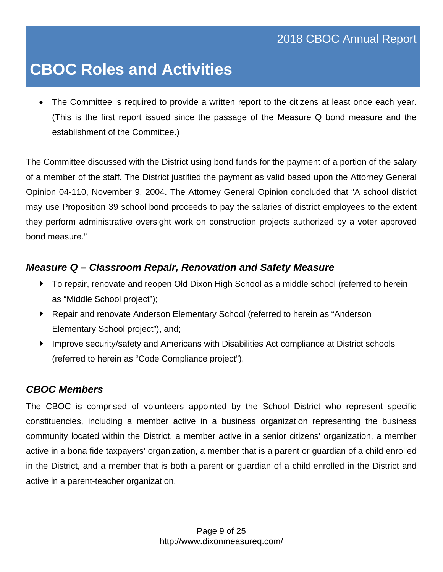The Committee is required to provide a written report to the citizens at least once each year. (This is the first report issued since the passage of the Measure Q bond measure and the establishment of the Committee.)

The Committee discussed with the District using bond funds for the payment of a portion of the salary of a member of the staff. The District justified the payment as valid based upon the Attorney General Opinion 04-110, November 9, 2004. The Attorney General Opinion concluded that "A school district may use Proposition 39 school bond proceeds to pay the salaries of district employees to the extent they perform administrative oversight work on construction projects authorized by a voter approved bond measure."

#### *Measure Q – Classroom Repair, Renovation and Safety Measure*

- To repair, renovate and reopen Old Dixon High School as a middle school (referred to herein as "Middle School project");
- Repair and renovate Anderson Elementary School (referred to herein as "Anderson Elementary School project"), and;
- Improve security/safety and Americans with Disabilities Act compliance at District schools (referred to herein as "Code Compliance project").

#### *CBOC Members*

The CBOC is comprised of volunteers appointed by the School District who represent specific constituencies, including a member active in a business organization representing the business community located within the District, a member active in a senior citizens' organization, a member active in a bona fide taxpayers' organization, a member that is a parent or guardian of a child enrolled in the District, and a member that is both a parent or guardian of a child enrolled in the District and active in a parent-teacher organization.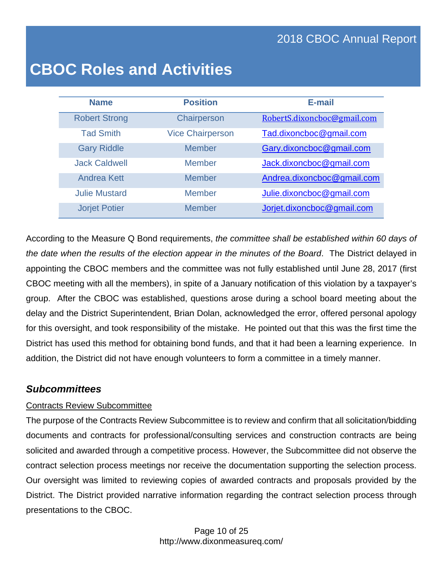### 2018 CBOC Annual Report

### **CBOC Roles and Activities**

| <b>Name</b>          | <b>Position</b>         | E-mail                      |
|----------------------|-------------------------|-----------------------------|
| <b>Robert Strong</b> | Chairperson             | RobertS.dixoncboc@gmail.com |
| <b>Tad Smith</b>     | <b>Vice Chairperson</b> | Tad.dixoncboc@gmail.com     |
| <b>Gary Riddle</b>   | <b>Member</b>           | Gary.dixoncboc@gmail.com    |
| <b>Jack Caldwell</b> | Member                  | Jack.dixoncboc@gmail.com    |
| <b>Andrea Kett</b>   | <b>Member</b>           | Andrea.dixoncboc@gmail.com  |
| <b>Julie Mustard</b> | <b>Member</b>           | Julie.dixoncboc@gmail.com   |
| <b>Jorjet Potier</b> | <b>Member</b>           | Jorjet.dixoncboc@gmail.com  |

According to the Measure Q Bond requirements, *the committee shall be established within 60 days of the date when the results of the election appear in the minutes of the Board*. The District delayed in appointing the CBOC members and the committee was not fully established until June 28, 2017 (first CBOC meeting with all the members), in spite of a January notification of this violation by a taxpayer's group. After the CBOC was established, questions arose during a school board meeting about the delay and the District Superintendent, Brian Dolan, acknowledged the error, offered personal apology for this oversight, and took responsibility of the mistake. He pointed out that this was the first time the District has used this method for obtaining bond funds, and that it had been a learning experience. In addition, the District did not have enough volunteers to form a committee in a timely manner.

#### *Subcommittees*

#### Contracts Review Subcommittee

The purpose of the Contracts Review Subcommittee is to review and confirm that all solicitation/bidding documents and contracts for professional/consulting services and construction contracts are being solicited and awarded through a competitive process. However, the Subcommittee did not observe the contract selection process meetings nor receive the documentation supporting the selection process. Our oversight was limited to reviewing copies of awarded contracts and proposals provided by the District. The District provided narrative information regarding the contract selection process through presentations to the CBOC.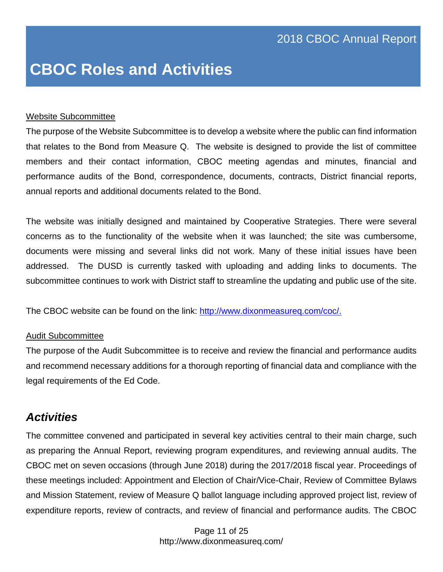#### Website Subcommittee

The purpose of the Website Subcommittee is to develop a website where the public can find information that relates to the Bond from Measure Q. The website is designed to provide the list of committee members and their contact information, CBOC meeting agendas and minutes, financial and performance audits of the Bond, correspondence, documents, contracts, District financial reports, annual reports and additional documents related to the Bond.

The website was initially designed and maintained by Cooperative Strategies. There were several concerns as to the functionality of the website when it was launched; the site was cumbersome, documents were missing and several links did not work. Many of these initial issues have been addressed. The DUSD is currently tasked with uploading and adding links to documents. The subcommittee continues to work with District staff to streamline the updating and public use of the site.

The CBOC website can be found on the link: http://www.dixonmeasureq.com/coc/.

#### Audit Subcommittee

The purpose of the Audit Subcommittee is to receive and review the financial and performance audits and recommend necessary additions for a thorough reporting of financial data and compliance with the legal requirements of the Ed Code.

#### *Activities*

The committee convened and participated in several key activities central to their main charge, such as preparing the Annual Report, reviewing program expenditures, and reviewing annual audits. The CBOC met on seven occasions (through June 2018) during the 2017/2018 fiscal year. Proceedings of these meetings included: Appointment and Election of Chair/Vice-Chair, Review of Committee Bylaws and Mission Statement, review of Measure Q ballot language including approved project list, review of expenditure reports, review of contracts, and review of financial and performance audits. The CBOC

> Page 11 of 25 http://www.dixonmeasureq.com/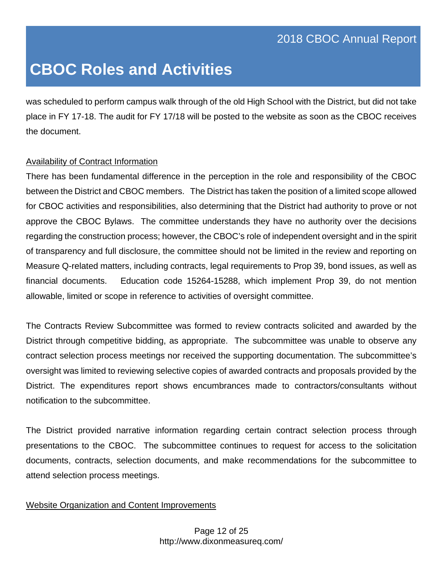was scheduled to perform campus walk through of the old High School with the District, but did not take place in FY 17-18. The audit for FY 17/18 will be posted to the website as soon as the CBOC receives the document.

#### Availability of Contract Information

There has been fundamental difference in the perception in the role and responsibility of the CBOC between the District and CBOC members. The District has taken the position of a limited scope allowed for CBOC activities and responsibilities, also determining that the District had authority to prove or not approve the CBOC Bylaws. The committee understands they have no authority over the decisions regarding the construction process; however, the CBOC's role of independent oversight and in the spirit of transparency and full disclosure, the committee should not be limited in the review and reporting on Measure Q-related matters, including contracts, legal requirements to Prop 39, bond issues, as well as financial documents. Education code 15264-15288, which implement Prop 39, do not mention allowable, limited or scope in reference to activities of oversight committee.

The Contracts Review Subcommittee was formed to review contracts solicited and awarded by the District through competitive bidding, as appropriate. The subcommittee was unable to observe any contract selection process meetings nor received the supporting documentation. The subcommittee's oversight was limited to reviewing selective copies of awarded contracts and proposals provided by the District. The expenditures report shows encumbrances made to contractors/consultants without notification to the subcommittee.

The District provided narrative information regarding certain contract selection process through presentations to the CBOC. The subcommittee continues to request for access to the solicitation documents, contracts, selection documents, and make recommendations for the subcommittee to attend selection process meetings.

#### Website Organization and Content Improvements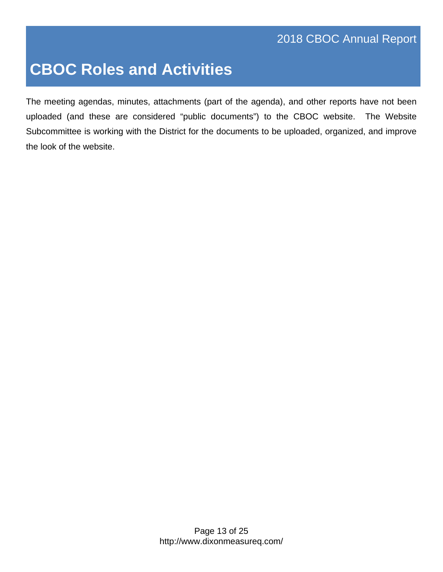The meeting agendas, minutes, attachments (part of the agenda), and other reports have not been uploaded (and these are considered "public documents") to the CBOC website. The Website Subcommittee is working with the District for the documents to be uploaded, organized, and improve the look of the website.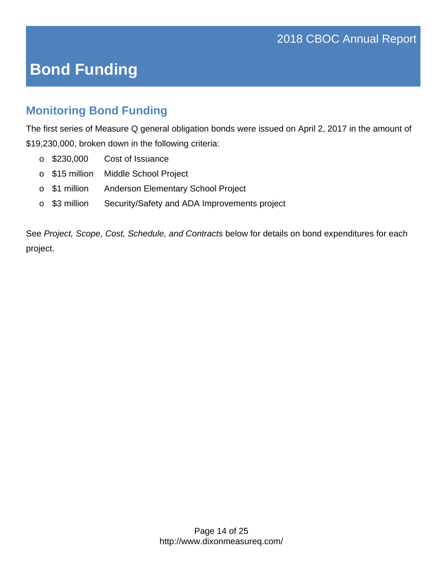# **Bond Funding**

### **Monitoring Bond Funding**

The first series of Measure Q general obligation bonds were issued on April 2, 2017 in the amount of \$19,230,000, broken down in the following criteria:

- o \$230,000 Cost of Issuance
- o \$15 million Middle School Project
- o \$1 million Anderson Elementary School Project
- o \$3 million Security/Safety and ADA Improvements project

See *Project, Scope, Cost, Schedule, and Contracts* below for details on bond expenditures for each project.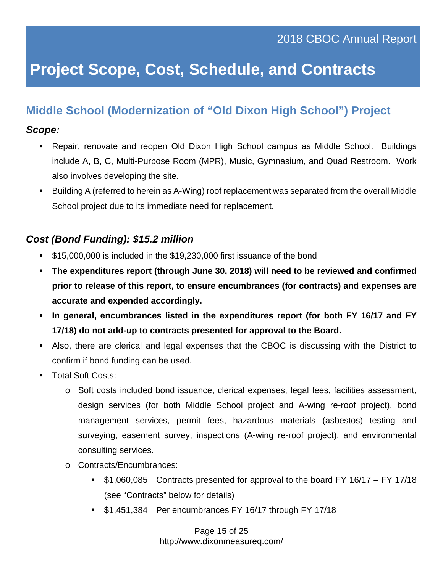### **Middle School (Modernization of "Old Dixon High School") Project**

#### *Scope:*

- Repair, renovate and reopen Old Dixon High School campus as Middle School. Buildings include A, B, C, Multi-Purpose Room (MPR), Music, Gymnasium, and Quad Restroom. Work also involves developing the site.
- Building A (referred to herein as A-Wing) roof replacement was separated from the overall Middle School project due to its immediate need for replacement.

### *Cost (Bond Funding): \$15.2 million*

- **515,000,000 is included in the \$19,230,000 first issuance of the bond**
- **The expenditures report (through June 30, 2018) will need to be reviewed and confirmed prior to release of this report, to ensure encumbrances (for contracts) and expenses are accurate and expended accordingly.**
- **In general, encumbrances listed in the expenditures report (for both FY 16/17 and FY 17/18) do not add-up to contracts presented for approval to the Board.**
- Also, there are clerical and legal expenses that the CBOC is discussing with the District to confirm if bond funding can be used.
- Total Soft Costs:
	- o Soft costs included bond issuance, clerical expenses, legal fees, facilities assessment, design services (for both Middle School project and A-wing re-roof project), bond management services, permit fees, hazardous materials (asbestos) testing and surveying, easement survey, inspections (A-wing re-roof project), and environmental consulting services.
	- o Contracts/Encumbrances:
		- \$1,060,085 Contracts presented for approval to the board FY 16/17 FY 17/18 (see "Contracts" below for details)
		- **51,451,384 Per encumbrances FY 16/17 through FY 17/18**

 Page 15 of 25 http://www.dixonmeasureq.com/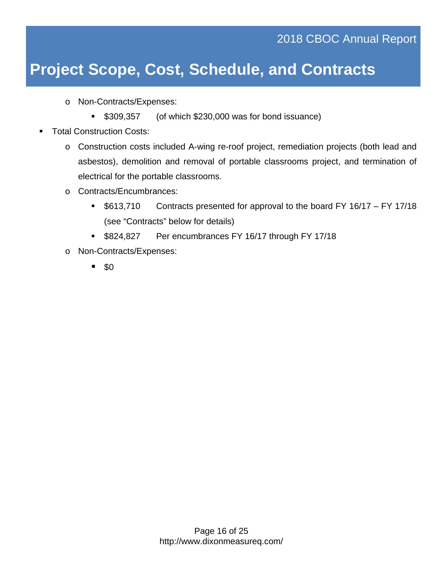o Non-Contracts/Expenses:

- \$309,357 (of which \$230,000 was for bond issuance)
- Total Construction Costs:
	- o Construction costs included A-wing re-roof project, remediation projects (both lead and asbestos), demolition and removal of portable classrooms project, and termination of electrical for the portable classrooms.
	- o Contracts/Encumbrances:
		- **5613,710** Contracts presented for approval to the board FY 16/17 FY 17/18 (see "Contracts" below for details)
		- **\$824,827** Per encumbrances FY 16/17 through FY 17/18
	- o Non-Contracts/Expenses:
		- $\blacksquare$  \$0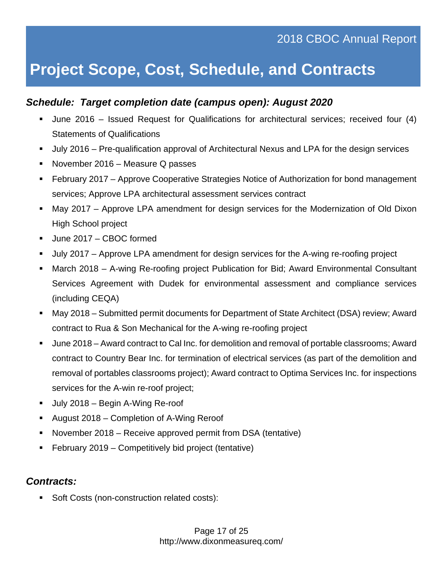#### *Schedule: Target completion date (campus open): August 2020*

- June 2016 Issued Request for Qualifications for architectural services; received four (4) Statements of Qualifications
- July 2016 Pre-qualification approval of Architectural Nexus and LPA for the design services
- November 2016 Measure Q passes
- February 2017 Approve Cooperative Strategies Notice of Authorization for bond management services; Approve LPA architectural assessment services contract
- May 2017 Approve LPA amendment for design services for the Modernization of Old Dixon High School project
- June 2017 CBOC formed
- July 2017 Approve LPA amendment for design services for the A-wing re-roofing project
- March 2018 A-wing Re-roofing project Publication for Bid; Award Environmental Consultant Services Agreement with Dudek for environmental assessment and compliance services (including CEQA)
- May 2018 Submitted permit documents for Department of State Architect (DSA) review; Award contract to Rua & Son Mechanical for the A-wing re-roofing project
- June 2018 Award contract to Cal Inc. for demolition and removal of portable classrooms; Award contract to Country Bear Inc. for termination of electrical services (as part of the demolition and removal of portables classrooms project); Award contract to Optima Services Inc. for inspections services for the A-win re-roof project;
- **July 2018 Begin A-Wing Re-roof**
- August 2018 Completion of A-Wing Reroof
- November 2018 Receive approved permit from DSA (tentative)
- February 2019 Competitively bid project (tentative)

#### *Contracts:*

Soft Costs (non-construction related costs):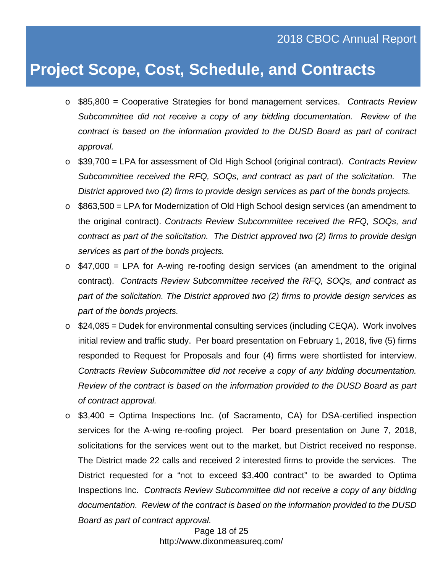- o \$85,800 = Cooperative Strategies for bond management services. *Contracts Review Subcommittee did not receive a copy of any bidding documentation. Review of the contract is based on the information provided to the DUSD Board as part of contract approval.*
- o \$39,700 = LPA for assessment of Old High School (original contract). *Contracts Review Subcommittee received the RFQ, SOQs, and contract as part of the solicitation. The District approved two (2) firms to provide design services as part of the bonds projects.*
- $\circ$  \$863,500 = LPA for Modernization of Old High School design services (an amendment to the original contract). *Contracts Review Subcommittee received the RFQ, SOQs, and contract as part of the solicitation. The District approved two (2) firms to provide design services as part of the bonds projects.*
- $\circ$  \$47,000 = LPA for A-wing re-roofing design services (an amendment to the original contract). *Contracts Review Subcommittee received the RFQ, SOQs, and contract as part of the solicitation. The District approved two (2) firms to provide design services as part of the bonds projects.*
- $\circ$  \$24,085 = Dudek for environmental consulting services (including CEQA). Work involves initial review and traffic study. Per board presentation on February 1, 2018, five (5) firms responded to Request for Proposals and four (4) firms were shortlisted for interview. *Contracts Review Subcommittee did not receive a copy of any bidding documentation. Review of the contract is based on the information provided to the DUSD Board as part of contract approval.*
- $\circ$  \$3,400 = Optima Inspections Inc. (of Sacramento, CA) for DSA-certified inspection services for the A-wing re-roofing project. Per board presentation on June 7, 2018, solicitations for the services went out to the market, but District received no response. The District made 22 calls and received 2 interested firms to provide the services. The District requested for a "not to exceed \$3,400 contract" to be awarded to Optima Inspections Inc. *Contracts Review Subcommittee did not receive a copy of any bidding documentation. Review of the contract is based on the information provided to the DUSD Board as part of contract approval.*

 Page 18 of 25 http://www.dixonmeasureq.com/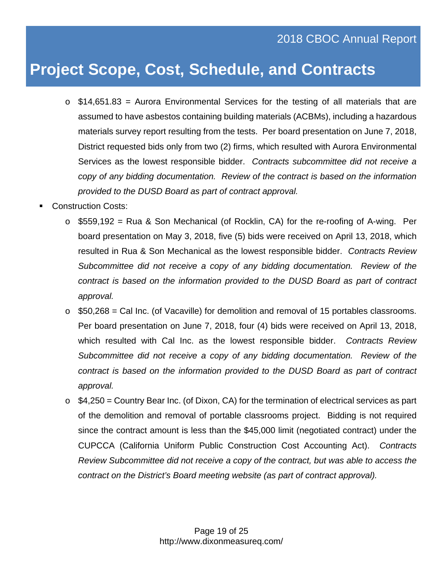- $\circ$  \$14,651.83 = Aurora Environmental Services for the testing of all materials that are assumed to have asbestos containing building materials (ACBMs), including a hazardous materials survey report resulting from the tests. Per board presentation on June 7, 2018, District requested bids only from two (2) firms, which resulted with Aurora Environmental Services as the lowest responsible bidder. *Contracts subcommittee did not receive a copy of any bidding documentation. Review of the contract is based on the information provided to the DUSD Board as part of contract approval.*
- Construction Costs:
	- o \$559,192 = Rua & Son Mechanical (of Rocklin, CA) for the re-roofing of A-wing. Per board presentation on May 3, 2018, five (5) bids were received on April 13, 2018, which resulted in Rua & Son Mechanical as the lowest responsible bidder. *Contracts Review Subcommittee did not receive a copy of any bidding documentation. Review of the contract is based on the information provided to the DUSD Board as part of contract approval.*
	- $\circ$  \$50,268 = Cal Inc. (of Vacaville) for demolition and removal of 15 portables classrooms. Per board presentation on June 7, 2018, four (4) bids were received on April 13, 2018, which resulted with Cal Inc. as the lowest responsible bidder. *Contracts Review Subcommittee did not receive a copy of any bidding documentation. Review of the contract is based on the information provided to the DUSD Board as part of contract approval.*
	- $\circ$  \$4,250 = Country Bear Inc. (of Dixon, CA) for the termination of electrical services as part of the demolition and removal of portable classrooms project. Bidding is not required since the contract amount is less than the \$45,000 limit (negotiated contract) under the CUPCCA (California Uniform Public Construction Cost Accounting Act). *Contracts Review Subcommittee did not receive a copy of the contract, but was able to access the contract on the District's Board meeting website (as part of contract approval).*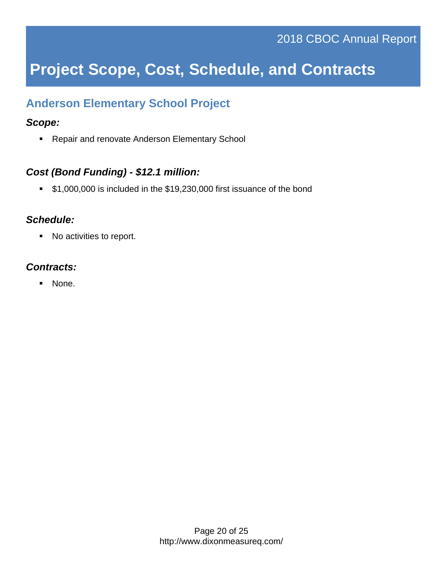### **Anderson Elementary School Project**

#### *Scope:*

**Repair and renovate Anderson Elementary School** 

#### *Cost (Bond Funding) - \$12.1 million:*

**\$1,000,000 is included in the \$19,230,000 first issuance of the bond** 

#### *Schedule:*

■ No activities to report.

#### *Contracts:*

• None.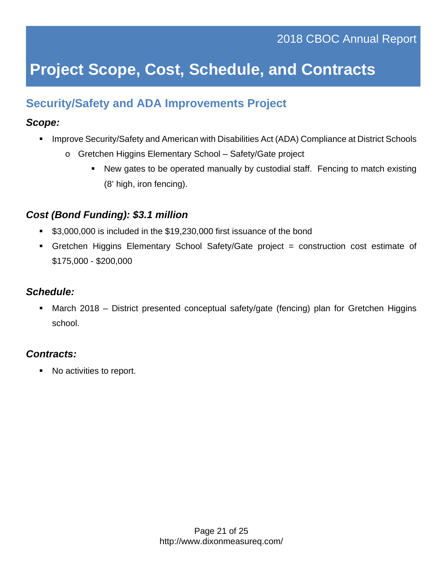### **Security/Safety and ADA Improvements Project**

#### *Scope:*

- **Improve Security/Safety and American with Disabilities Act (ADA) Compliance at District Schools** 
	- o Gretchen Higgins Elementary School Safety/Gate project
		- New gates to be operated manually by custodial staff. Fencing to match existing (8' high, iron fencing).

### *Cost (Bond Funding): \$3.1 million*

- \$3,000,000 is included in the \$19,230,000 first issuance of the bond
- Gretchen Higgins Elementary School Safety/Gate project = construction cost estimate of \$175,000 - \$200,000

### *Schedule:*

 March 2018 – District presented conceptual safety/gate (fencing) plan for Gretchen Higgins school.

### *Contracts:*

■ No activities to report.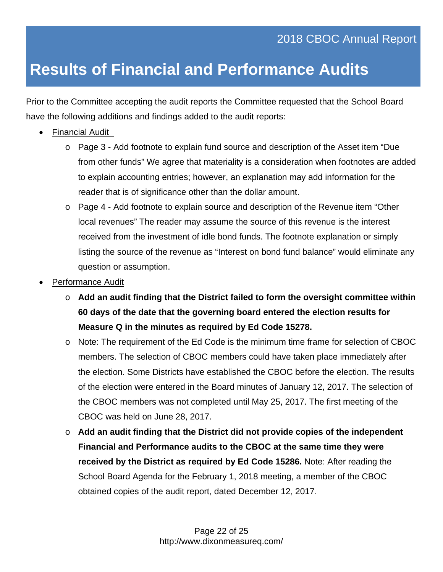# **Results of Financial and Performance Audits**

Prior to the Committee accepting the audit reports the Committee requested that the School Board have the following additions and findings added to the audit reports:

- Financial Audit
	- o Page 3 Add footnote to explain fund source and description of the Asset item "Due from other funds" We agree that materiality is a consideration when footnotes are added to explain accounting entries; however, an explanation may add information for the reader that is of significance other than the dollar amount.
	- o Page 4 Add footnote to explain source and description of the Revenue item "Other local revenues" The reader may assume the source of this revenue is the interest received from the investment of idle bond funds. The footnote explanation or simply listing the source of the revenue as "Interest on bond fund balance" would eliminate any question or assumption.
- Performance Audit
	- o **Add an audit finding that the District failed to form the oversight committee within 60 days of the date that the governing board entered the election results for Measure Q in the minutes as required by Ed Code 15278.**
	- o Note: The requirement of the Ed Code is the minimum time frame for selection of CBOC members. The selection of CBOC members could have taken place immediately after the election. Some Districts have established the CBOC before the election. The results of the election were entered in the Board minutes of January 12, 2017. The selection of the CBOC members was not completed until May 25, 2017. The first meeting of the CBOC was held on June 28, 2017.
	- o **Add an audit finding that the District did not provide copies of the independent Financial and Performance audits to the CBOC at the same time they were received by the District as required by Ed Code 15286.** Note: After reading the School Board Agenda for the February 1, 2018 meeting, a member of the CBOC obtained copies of the audit report, dated December 12, 2017.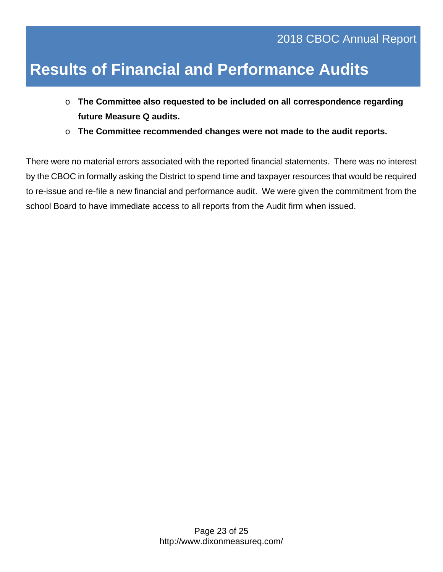# **Results of Financial and Performance Audits**

- o **The Committee also requested to be included on all correspondence regarding future Measure Q audits.**
- o **The Committee recommended changes were not made to the audit reports.**

There were no material errors associated with the reported financial statements. There was no interest by the CBOC in formally asking the District to spend time and taxpayer resources that would be required to re-issue and re-file a new financial and performance audit. We were given the commitment from the school Board to have immediate access to all reports from the Audit firm when issued.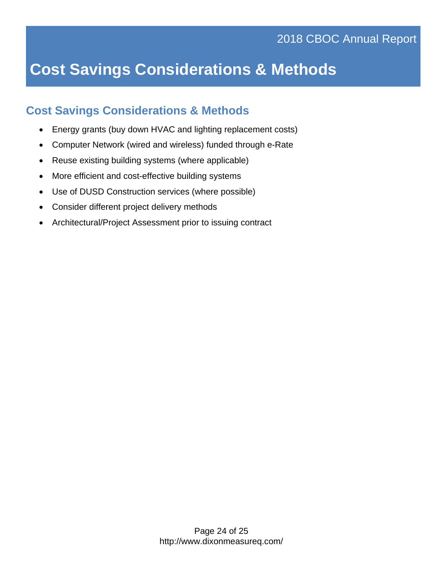# **Cost Savings Considerations & Methods**

### **Cost Savings Considerations & Methods**

- Energy grants (buy down HVAC and lighting replacement costs)
- Computer Network (wired and wireless) funded through e-Rate
- Reuse existing building systems (where applicable)
- More efficient and cost-effective building systems
- Use of DUSD Construction services (where possible)
- Consider different project delivery methods
- Architectural/Project Assessment prior to issuing contract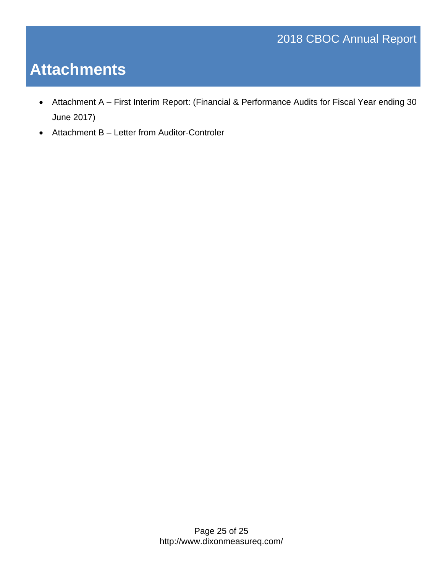### 2018 CBOC Annual Report

# **Attachments**

- Attachment A First Interim Report: (Financial & Performance Audits for Fiscal Year ending 30 June 2017)
- Attachment B Letter from Auditor-Controler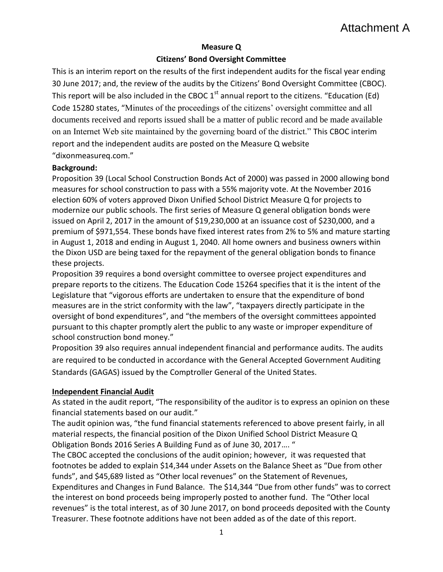#### **Measure Q**

#### **Citizens' Bond Oversight Committee**

This is an interim report on the results of the first independent audits for the fiscal year ending 30 June 2017; and, the review of the audits by the Citizens' Bond Oversight Committee (CBOC). This report will be also included in the CBOC  $1<sup>st</sup>$  annual report to the citizens. "Education (Ed) Code 15280 states, "Minutes of the proceedings of the citizens' oversight committee and all documents received and reports issued shall be a matter of public record and be made available on an Internet Web site maintained by the governing board of the district." This CBOC interim report and the independent audits are posted on the Measure Q website "dixonmeasureq.com."

#### **Background:**

Proposition 39 (Local School Construction Bonds Act of 2000) was passed in 2000 allowing bond measures for school construction to pass with a 55% majority vote. At the November 2016 election 60% of voters approved Dixon Unified School District Measure Q for projects to modernize our public schools. The first series of Measure Q general obligation bonds were issued on April 2, 2017 in the amount of \$19,230,000 at an issuance cost of \$230,000, and a premium of \$971,554. These bonds have fixed interest rates from 2% to 5% and mature starting in August 1, 2018 and ending in August 1, 2040. All home owners and business owners within the Dixon USD are being taxed for the repayment of the general obligation bonds to finance these projects.

Proposition 39 requires a bond oversight committee to oversee project expenditures and prepare reports to the citizens. The Education Code 15264 specifies that it is the intent of the Legislature that "vigorous efforts are undertaken to ensure that the expenditure of bond measures are in the strict conformity with the law", "taxpayers directly participate in the oversight of bond expenditures", and "the members of the oversight committees appointed pursuant to this chapter promptly alert the public to any waste or improper expenditure of school construction bond money."

Proposition 39 also requires annual independent financial and performance audits. The audits are required to be conducted in accordance with the General Accepted Government Auditing Standards (GAGAS) issued by the Comptroller General of the United States.

#### **Independent Financial Audit**

As stated in the audit report, "The responsibility of the auditor is to express an opinion on these financial statements based on our audit."

The audit opinion was, "the fund financial statements referenced to above present fairly, in all material respects, the financial position of the Dixon Unified School District Measure Q Obligation Bonds 2016 Series A Building Fund as of June 30, 2017…. "

The CBOC accepted the conclusions of the audit opinion; however, it was requested that footnotes be added to explain \$14,344 under Assets on the Balance Sheet as "Due from other funds", and \$45,689 listed as "Other local revenues" on the Statement of Revenues, Expenditures and Changes in Fund Balance. The \$14,344 "Due from other funds" was to correct the interest on bond proceeds being improperly posted to another fund. The "Other local revenues" is the total interest, as of 30 June 2017, on bond proceeds deposited with the County Treasurer. These footnote additions have not been added as of the date of this report.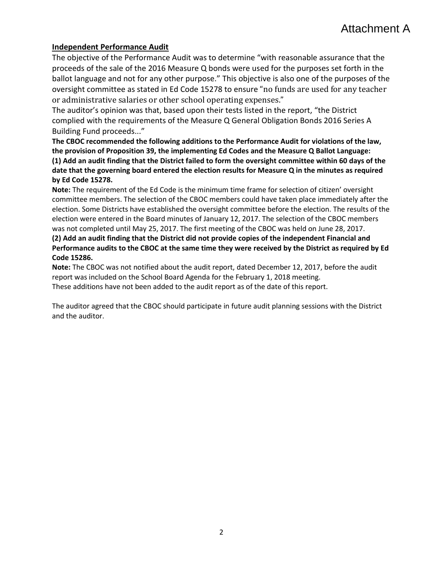#### **Independent Performance Audit**

The objective of the Performance Audit was to determine "with reasonable assurance that the proceeds of the sale of the 2016 Measure Q bonds were used for the purposes set forth in the ballot language and not for any other purpose." This objective is also one of the purposes of the oversight committee as stated in Ed Code 15278 to ensure "no funds are used for any teacher or administrative salaries or other school operating expenses."

The auditor's opinion was that, based upon their tests listed in the report, "the District complied with the requirements of the Measure Q General Obligation Bonds 2016 Series A Building Fund proceeds..."

**The CBOC recommended the following additions to the Performance Audit for violations of the law, the provision of Proposition 39, the implementing Ed Codes and the Measure Q Ballot Language: (1) Add an audit finding that the District failed to form the oversight committee within 60 days of the date that the governing board entered the election results for Measure Q in the minutes as required by Ed Code 15278.**

**Note:** The requirement of the Ed Code is the minimum time frame for selection of citizen' oversight committee members. The selection of the CBOC members could have taken place immediately after the election. Some Districts have established the oversight committee before the election. The results of the election were entered in the Board minutes of January 12, 2017. The selection of the CBOC members was not completed until May 25, 2017. The first meeting of the CBOC was held on June 28, 2017.

**(2) Add an audit finding that the District did not provide copies of the independent Financial and Performance audits to the CBOC at the same time they were received by the District as required by Ed Code 15286.** 

**Note:** The CBOC was not notified about the audit report, dated December 12, 2017, before the audit report was included on the School Board Agenda for the February 1, 2018 meeting. These additions have not been added to the audit report as of the date of this report.

The auditor agreed that the CBOC should participate in future audit planning sessions with the District and the auditor.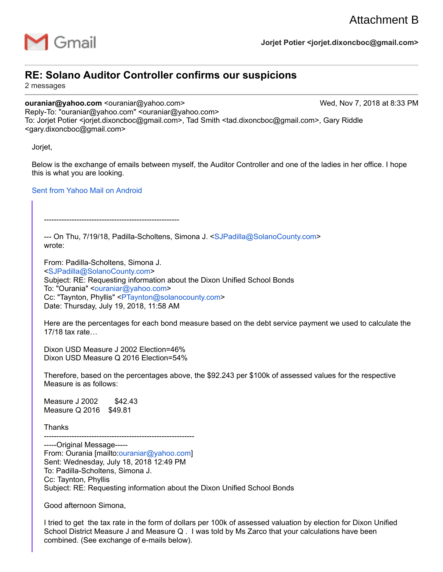

### **RE: Solano Auditor Controller confirms our suspicions**

2 messages

**ouraniar@yahoo.com** <ouraniar@yahoo.com> Wed, Nov 7, 2018 at 8:33 PM

------------------------------------------------------

Reply-To: "ouraniar@yahoo.com" <ouraniar@yahoo.com> To: Jorjet Potier <jorjet.dixoncboc@gmail.com>, Tad Smith <tad.dixoncboc@gmail.com>, Gary Riddle <gary.dixoncboc@gmail.com>

Jorjet,

Below is the exchange of emails between myself, the Auditor Controller and one of the ladies in her office. I hope this is what you are looking.

#### Sent from Yahoo Mail on Android

--- On Thu, 7/19/18, Padilla-Scholtens, Simona J. <SJPadilla@SolanoCounty.com> wrote:

From: Padilla-Scholtens, Simona J. <SJPadilla@SolanoCounty.com> Subject: RE: Requesting information about the Dixon Unified School Bonds To: "Ourania" <ouraniar@yahoo.com> Cc: "Taynton, Phyllis" <PTaynton@solanocounty.com> Date: Thursday, July 19, 2018, 11:58 AM

Here are the percentages for each bond measure based on the debt service payment we used to calculate the 17/18 tax rate…

Dixon USD Measure J 2002 Election=46% Dixon USD Measure Q 2016 Election=54%

Therefore, based on the percentages above, the \$92.243 per \$100k of assessed values for the respective Measure is as follows:

Measure J 2002 \$42.43 Measure Q 2016 \$49.81

**Thanks** 

------------------------------------------------------------ -----Original Message----- From: Ourania [mailto:ouraniar@yahoo.com] Sent: Wednesday, July 18, 2018 12:49 PM To: Padilla-Scholtens, Simona J. Cc: Taynton, Phyllis Subject: RE: Requesting information about the Dixon Unified School Bonds

Good afternoon Simona,

I tried to get the tax rate in the form of dollars per 100k of assessed valuation by election for Dixon Unified School District Measure J and Measure Q . I was told by Ms Zarco that your calculations have been combined. (See exchange of e-mails below).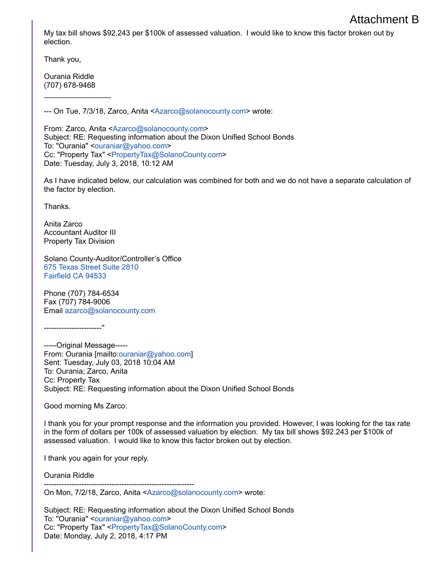My tax bill shows \$92.243 per \$100k of assessed valuation. I would like to know this factor broken out by election.

Thank you,

Ourania Riddle (707) 678-9468

 $\mathcal{L}$  , we have the set of  $\mathcal{L}$ 

--- On Tue, 7/3/18, Zarco, Anita <Azarco@solanocounty.com> wrote:

From: Zarco, Anita <Azarco@solanocounty.com> Subject: RE: Requesting information about the Dixon Unified School Bonds To: "Ourania" <ouraniar@yahoo.com> Cc: "Property Tax" <PropertyTax@SolanoCounty.com> Date: Tuesday, July 3, 2018, 10:12 AM

As I have indicated below, our calculation was combined for both and we do not have a separate calculation of the factor by election.

**Thanks** 

Anita Zarco Accountant Auditor III Property Tax Division

Solano County-Auditor/Controller's Office 675 Texas Street Suite 2810 Fairfield CA 94533

Phone (707) 784-6534 Fax (707) 784-9006 Email azarco@solanocounty.com

-----------------------''

-----Original Message----- From: Ourania [mailto:ouraniar@yahoo.com] Sent: Tuesday, July 03, 2018 10:04 AM To: Ourania; Zarco, Anita Cc: Property Tax Subject: RE: Requesting information about the Dixon Unified School Bonds

Good morning Ms Zarco:

I thank you for your prompt response and the information you provided. However, I was looking for the tax rate in the form of dollars per 100k of assessed valuation by election. My tax bill shows \$92.243 per \$100k of assessed valuation. I would like to know this factor broken out by election.

I thank you again for your reply.

Ourania Riddle

------------------------------------------------------------ On Mon, 7/2/18, Zarco, Anita <Azarco@solanocounty.com> wrote:

Subject: RE: Requesting information about the Dixon Unified School Bonds To: "Ourania" < ouraniar@yahoo.com> Cc: "Property Tax" <PropertyTax@SolanoCounty.com> Date: Monday, July 2, 2018, 4:17 PM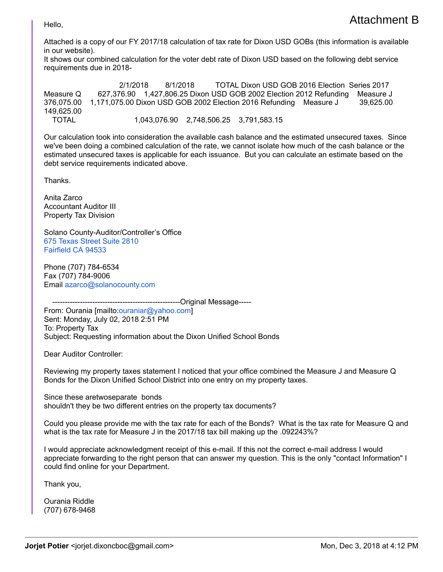Hello,

Attached is a copy of our FY 2017/18 calculation of tax rate for Dixon USD GOBs (this information is available in our website).

It shows our combined calculation for the voter debt rate of Dixon USD based on the following debt service requirements due in 2018-

2/1/2018 8/1/2018 TOTAL Dixon USD GOB 2016 Election Series 2017 Measure Q 627,376.90 1,427,806.25 Dixon USD GOB 2002 Election 2012 Refunding Measure J 376,075.00 1,171,075.00 Dixon USD GOB 2002 Election 2016 Refunding Measure J 39,625.00 149,625.00 TOTAL 1,043,076.90 2,748,506.25 3,791,583.15

Our calculation took into consideration the available cash balance and the estimated unsecured taxes. Since we've been doing a combined calculation of the rate, we cannot isolate how much of the cash balance or the estimated unsecured taxes is applicable for each issuance. But you can calculate an estimate based on the debt service requirements indicated above.

Thanks.

Anita Zarco Accountant Auditor III Property Tax Division

Solano County-Auditor/Controller's Office 675 Texas Street Suite 2810 Fairfield CA 94533

Phone (707) 784-6534 Fax (707) 784-9006 Email azarco@solanocounty.com

----------Original Message------From: Ourania [mailto:ouraniar@yahoo.com] Sent: Monday, July 02, 2018 2:51 PM To: Property Tax Subject: Requesting information about the Dixon Unified School Bonds

Dear Auditor Controller:

Reviewing my property taxes statement I noticed that your office combined the Measure J and Measure Q Bonds for the Dixon Unified School District into one entry on my property taxes.

Since these aretwoseparate bonds shouldn't they be two different entries on the property tax documents?

Could you please provide me with the tax rate for each of the Bonds? What is the tax rate for Measure Q and what is the tax rate for Measure J in the 2017/18 tax bill making up the .092243%?

I would appreciate acknowledgment receipt of this e-mail. If this not the correct e-mail address I would appreciate forwarding to the right person that can answer my question. This is the only "contact Information" I could find online for your Department.

Thank you,

Ourania Riddle (707) 678-9468